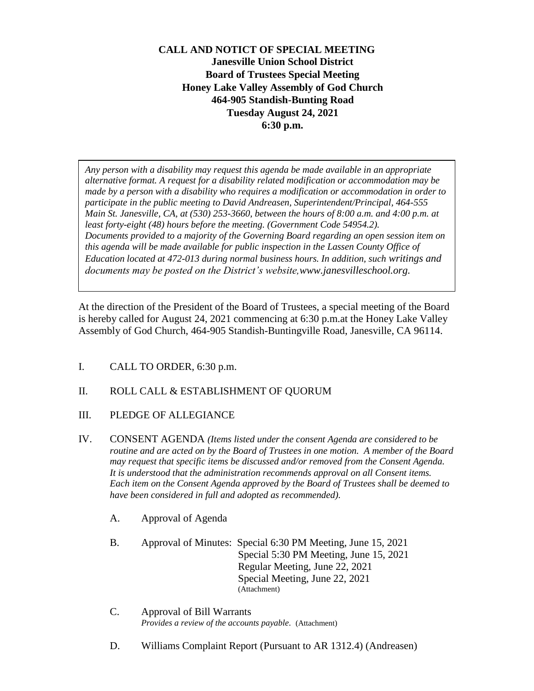# **CALL AND NOTICT OF SPECIAL MEETING Janesville Union School District Board of Trustees Special Meeting Honey Lake Valley Assembly of God Church 464-905 Standish-Bunting Road Tuesday August 24, 2021 6:30 p.m.**

*Any person with a disability may request this agenda be made available in an appropriate alternative format. A request for a disability related modification or accommodation may be made by a person with a disability who requires a modification or accommodation in order to participate in the public meeting to David Andreasen, Superintendent/Principal, 464-555 Main St. Janesville, CA, at (530) 253-3660, between the hours of 8:00 a.m. and 4:00 p.m. at least forty-eight (48) hours before the meeting. (Government Code 54954.2). Documents provided to a majority of the Governing Board regarding an open session item on this agenda will be made available for public inspection in the Lassen County Office of Education located at 472-013 during normal business hours. In addition, such writings and documents may be posted on the District's website,www.janesvilleschool.org.*

At the direction of the President of the Board of Trustees, a special meeting of the Board is hereby called for August 24, 2021 commencing at 6:30 p.m.at the Honey Lake Valley Assembly of God Church, 464-905 Standish-Buntingville Road, Janesville, CA 96114.

- I. CALL TO ORDER, 6:30 p.m.
- II. ROLL CALL & ESTABLISHMENT OF QUORUM
- III. PLEDGE OF ALLEGIANCE
- IV. CONSENT AGENDA *(Items listed under the consent Agenda are considered to be routine and are acted on by the Board of Trustees in one motion. A member of the Board may request that specific items be discussed and/or removed from the Consent Agenda. It is understood that the administration recommends approval on all Consent items. Each item on the Consent Agenda approved by the Board of Trustees shall be deemed to have been considered in full and adopted as recommended).*
	- A. Approval of Agenda
	- B. Approval of Minutes: Special 6:30 PM Meeting, June 15, 2021 Special 5:30 PM Meeting, June 15, 2021 Regular Meeting, June 22, 2021 Special Meeting, June 22, 2021 (Attachment)
	- C. Approval of Bill Warrants *Provides a review of the accounts payable.* (Attachment)
	- D. Williams Complaint Report (Pursuant to AR 1312.4) (Andreasen)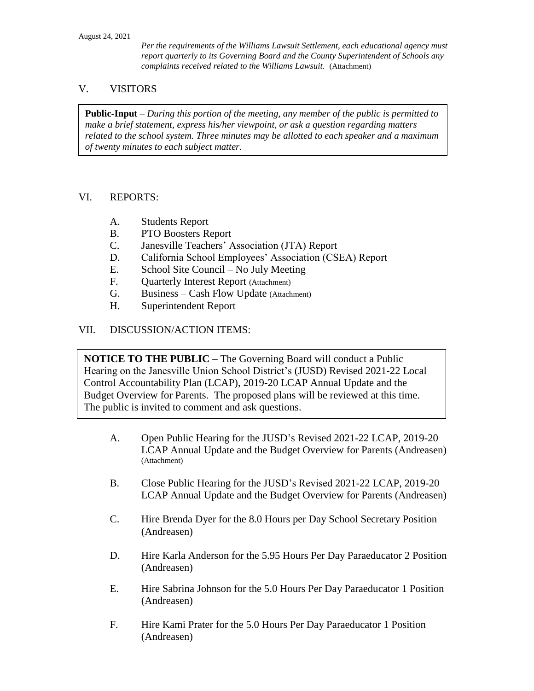*Per the requirements of the Williams Lawsuit Settlement, each educational agency must report quarterly to its Governing Board and the County Superintendent of Schools any complaints received related to the Williams Lawsuit.* (Attachment)

#### V. VISITORS

**Public-Input** – *During this portion of the meeting, any member of the public is permitted to make a brief statement, express his/her viewpoint, or ask a question regarding matters related to the school system. Three minutes may be allotted to each speaker and a maximum of twenty minutes to each subject matter.*

#### VI. REPORTS:

- A. Students Report
- B. PTO Boosters Report
- C. Janesville Teachers' Association (JTA) Report
- D. California School Employees' Association (CSEA) Report
- E. School Site Council No July Meeting
- F. Quarterly Interest Report (Attachment)
- G. Business Cash Flow Update (Attachment)
- H. Superintendent Report

## VII. DISCUSSION/ACTION ITEMS:

**NOTICE TO THE PUBLIC** – The Governing Board will conduct a Public Hearing on the Janesville Union School District's (JUSD) Revised 2021-22 Local Control Accountability Plan (LCAP), 2019-20 LCAP Annual Update and the Budget Overview for Parents. The proposed plans will be reviewed at this time. The public is invited to comment and ask questions.

- A. Open Public Hearing for the JUSD's Revised 2021-22 LCAP, 2019-20 LCAP Annual Update and the Budget Overview for Parents (Andreasen) (Attachment)
- B. Close Public Hearing for the JUSD's Revised 2021-22 LCAP, 2019-20 LCAP Annual Update and the Budget Overview for Parents (Andreasen)
- C. Hire Brenda Dyer for the 8.0 Hours per Day School Secretary Position (Andreasen)
- D. Hire Karla Anderson for the 5.95 Hours Per Day Paraeducator 2 Position (Andreasen)
- E. Hire Sabrina Johnson for the 5.0 Hours Per Day Paraeducator 1 Position (Andreasen)
- F. Hire Kami Prater for the 5.0 Hours Per Day Paraeducator 1 Position (Andreasen)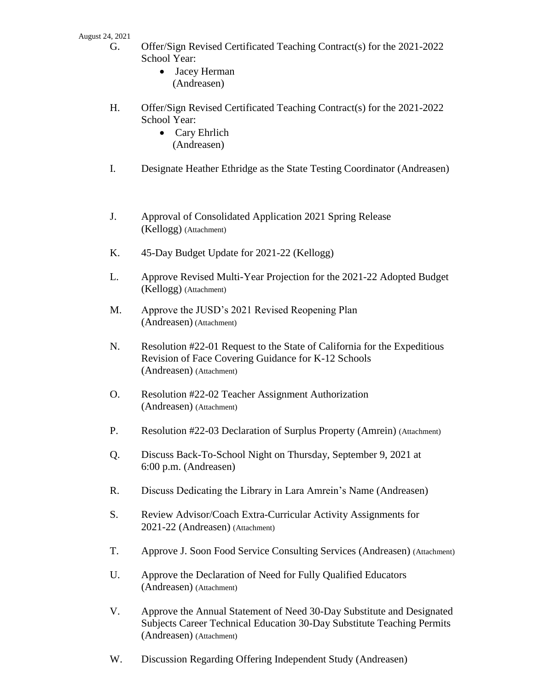#### August 24, 2021

- G. Offer/Sign Revised Certificated Teaching Contract(s) for the 2021-2022 School Year:
	- Jacey Herman (Andreasen)
- H. Offer/Sign Revised Certificated Teaching Contract(s) for the 2021-2022 School Year:
	- Cary Ehrlich (Andreasen)
- I. Designate Heather Ethridge as the State Testing Coordinator (Andreasen)
- J. Approval of Consolidated Application 2021 Spring Release (Kellogg) (Attachment)
- K. 45-Day Budget Update for 2021-22 (Kellogg)
- L. Approve Revised Multi-Year Projection for the 2021-22 Adopted Budget (Kellogg) (Attachment)
- M. Approve the JUSD's 2021 Revised Reopening Plan (Andreasen) (Attachment)
- N. Resolution #22-01 Request to the State of California for the Expeditious Revision of Face Covering Guidance for K-12 Schools (Andreasen) (Attachment)
- O. Resolution #22-02 Teacher Assignment Authorization (Andreasen) (Attachment)
- P. Resolution #22-03 Declaration of Surplus Property (Amrein) (Attachment)
- Q. Discuss Back-To-School Night on Thursday, September 9, 2021 at 6:00 p.m. (Andreasen)
- R. Discuss Dedicating the Library in Lara Amrein's Name (Andreasen)
- S. Review Advisor/Coach Extra-Curricular Activity Assignments for 2021-22 (Andreasen) (Attachment)
- T. Approve J. Soon Food Service Consulting Services (Andreasen) (Attachment)
- U. Approve the Declaration of Need for Fully Qualified Educators (Andreasen) (Attachment)
- V. Approve the Annual Statement of Need 30-Day Substitute and Designated Subjects Career Technical Education 30-Day Substitute Teaching Permits (Andreasen) (Attachment)
- W. Discussion Regarding Offering Independent Study (Andreasen)